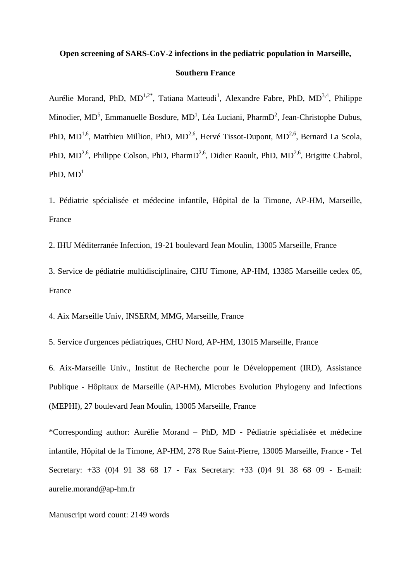# **Open screening of SARS-CoV-2 infections in the pediatric population in Marseille, Southern France**

Aurélie Morand, PhD, MD<sup>1,2\*</sup>, Tatiana Matteudi<sup>1</sup>, Alexandre Fabre, PhD, MD<sup>3,4</sup>, Philippe Minodier, MD<sup>5</sup>, Emmanuelle Bosdure, MD<sup>1</sup>, Léa Luciani, PharmD<sup>2</sup>, Jean-Christophe Dubus, PhD,  $MD^{1,6}$ , Matthieu Million, PhD,  $MD^{2,6}$ , Hervé Tissot-Dupont,  $MD^{2,6}$ , Bernard La Scola, PhD, MD<sup>2,6</sup>, Philippe Colson, PhD, PharmD<sup>2,6</sup>, Didier Raoult, PhD, MD<sup>2,6</sup>, Brigitte Chabrol, PhD,  $MD<sup>1</sup>$ 

1. Pédiatrie spécialisée et médecine infantile, Hôpital de la Timone, AP-HM, Marseille, France

2. IHU Méditerranée Infection, 19-21 boulevard Jean Moulin, 13005 Marseille, France

3. Service de pédiatrie multidisciplinaire, CHU Timone, AP-HM, 13385 Marseille cedex 05, France

4. Aix Marseille Univ, INSERM, MMG, Marseille, France

5. Service d'urgences pédiatriques, CHU Nord, AP-HM, 13015 Marseille, France

6. Aix-Marseille Univ., Institut de Recherche pour le Développement (IRD), Assistance Publique - Hôpitaux de Marseille (AP-HM), Microbes Evolution Phylogeny and Infections (MEPHI), 27 boulevard Jean Moulin, 13005 Marseille, France

\*Corresponding author: Aurélie Morand – PhD, MD - Pédiatrie spécialisée et médecine infantile, Hôpital de la Timone, AP-HM, 278 Rue Saint-Pierre, 13005 Marseille, France - Tel Secretary: +33 (0)4 91 38 68 17 - Fax Secretary: +33 (0)4 91 38 68 09 - E-mail: aurelie.morand@ap-hm.fr

# Manuscript word count: 2149 words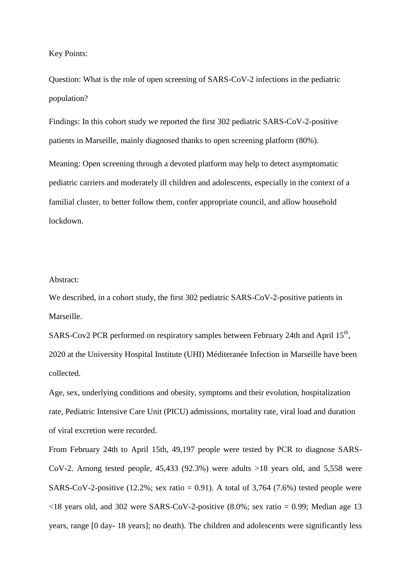Key Points:

Question: What is the role of open screening of SARS-CoV-2 infections in the pediatric population?

Findings: In this cohort study we reported the first 302 pediatric SARS-CoV-2-positive patients in Marseille, mainly diagnosed thanks to open screening platform (80%). Meaning: Open screening through a devoted platform may help to detect asymptomatic pediatric carriers and moderately ill children and adolescents, especially in the context of a familial cluster, to better follow them, confer appropriate council, and allow household lockdown.

## Abstract:

We described, in a cohort study, the first 302 pediatric SARS-CoV-2-positive patients in Marseille.

SARS-Cov2 PCR performed on respiratory samples between February 24th and April  $15<sup>th</sup>$ , 2020 at the University Hospital Institute (UHI) Méditeranée Infection in Marseille have been collected.

Age, sex, underlying conditions and obesity, symptoms and their evolution, hospitalization rate, Pediatric Intensive Care Unit (PICU) admissions, mortality rate, viral load and duration of viral excretion were recorded.

From February 24th to April 15th, 49,197 people were tested by PCR to diagnose SARS-CoV-2. Among tested people,  $45,433$  (92.3%) were adults  $>18$  years old, and 5,558 were SARS-CoV-2-positive  $(12.2\%;$  sex ratio = 0.91). A total of 3,764  $(7.6\%)$  tested people were  $\langle 18 \rangle$  years old, and 302 were SARS-CoV-2-positive (8.0%; sex ratio = 0.99; Median age 13 years, range [0 day- 18 years]; no death). The children and adolescents were significantly less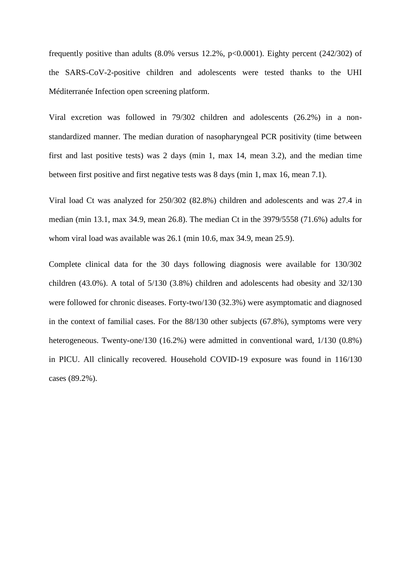frequently positive than adults  $(8.0\%$  versus 12.2%, p<0.0001). Eighty percent  $(242/302)$  of the SARS-CoV-2-positive children and adolescents were tested thanks to the UHI Méditerranée Infection open screening platform.

Viral excretion was followed in 79/302 children and adolescents (26.2%) in a nonstandardized manner. The median duration of nasopharyngeal PCR positivity (time between first and last positive tests) was 2 days (min 1, max 14, mean 3.2), and the median time between first positive and first negative tests was 8 days (min 1, max 16, mean 7.1).

Viral load Ct was analyzed for 250/302 (82.8%) children and adolescents and was 27.4 in median (min 13.1, max 34.9, mean 26.8). The median Ct in the 3979/5558 (71.6%) adults for whom viral load was available was 26.1 (min 10.6, max 34.9, mean 25.9).

Complete clinical data for the 30 days following diagnosis were available for 130/302 children (43.0%). A total of 5/130 (3.8%) children and adolescents had obesity and 32/130 were followed for chronic diseases. Forty-two/130 (32.3%) were asymptomatic and diagnosed in the context of familial cases. For the 88/130 other subjects (67.8%), symptoms were very heterogeneous. Twenty-one/130 (16.2%) were admitted in conventional ward, 1/130 (0.8%) in PICU. All clinically recovered. Household COVID-19 exposure was found in 116/130 cases (89.2%).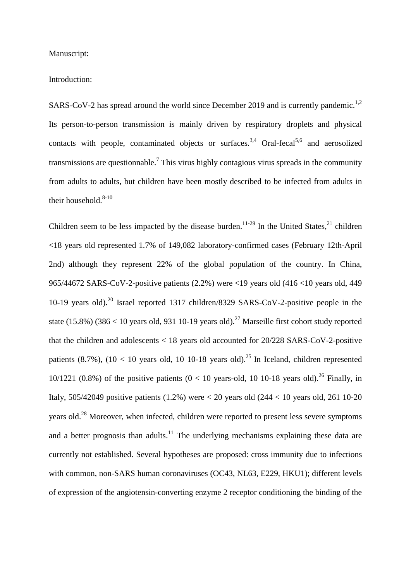Manuscript:

Introduction:

SARS-CoV-2 has spread around the world since December 2019 and is currently pandemic.<sup>1,2</sup> Its person-to-person transmission is mainly driven by respiratory droplets and physical contacts with people, contaminated objects or surfaces.<sup>3,4</sup> Oral-fecal<sup>5,6</sup> and aerosolized transmissions are questionnable.<sup>7</sup> This virus highly contagious virus spreads in the community from adults to adults, but children have been mostly described to be infected from adults in their household.<sup>8-10</sup>

Children seem to be less impacted by the disease burden.<sup>11-29</sup> In the United States,  $2^1$  children <18 years old represented 1.7% of 149,082 laboratory-confirmed cases (February 12th-April 2nd) although they represent 22% of the global population of the country. In China, 965/44672 SARS-CoV-2-positive patients (2.2%) were <19 years old (416 <10 years old, 449 10-19 years old).<sup>20</sup> Israel reported 1317 children/8329 SARS-CoV-2-positive people in the state (15.8%) (386 < 10 years old, 931 10-19 years old).<sup>27</sup> Marseille first cohort study reported that the children and adolescents < 18 years old accounted for 20/228 SARS-CoV-2-positive patients  $(8.7\%)$ ,  $(10 < 10$  years old, 10 10-18 years old).<sup>25</sup> In Iceland, children represented 10/1221 (0.8%) of the positive patients ( $0 < 10$  years-old, 10 10-18 years old).<sup>26</sup> Finally, in Italy, 505/42049 positive patients  $(1.2\%)$  were  $< 20$  years old  $(244 < 10$  years old, 261 10-20 years old.<sup>28</sup> Moreover, when infected, children were reported to present less severe symptoms and a better prognosis than adults.<sup>11</sup> The underlying mechanisms explaining these data are currently not established. Several hypotheses are proposed: cross immunity due to infections with common, non-SARS human coronaviruses (OC43, NL63, E229, HKU1); different levels of expression of the angiotensin-converting enzyme 2 receptor conditioning the binding of the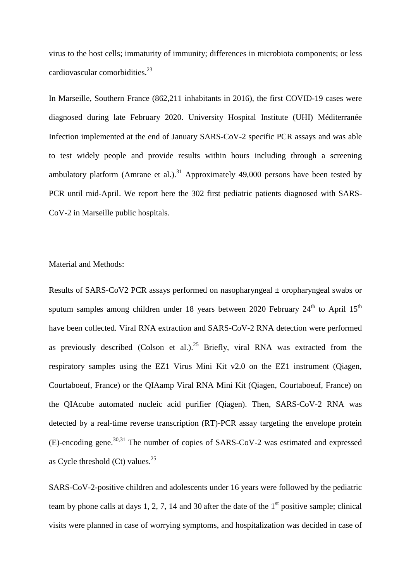virus to the host cells; immaturity of immunity; differences in microbiota components; or less cardiovascular comorbidities. $^{23}$ 

In Marseille, Southern France (862,211 inhabitants in 2016), the first COVID-19 cases were diagnosed during late February 2020. University Hospital Institute (UHI) Méditerranée Infection implemented at the end of January SARS-CoV-2 specific PCR assays and was able to test widely people and provide results within hours including through a screening ambulatory platform (Amrane et al.).<sup>31</sup> Approximately 49,000 persons have been tested by PCR until mid-April. We report here the 302 first pediatric patients diagnosed with SARS-CoV-2 in Marseille public hospitals.

Material and Methods:

Results of SARS-CoV2 PCR assays performed on nasopharyngeal  $\pm$  oropharyngeal swabs or sputum samples among children under 18 years between 2020 February  $24<sup>th</sup>$  to April 15<sup>th</sup> have been collected. Viral RNA extraction and SARS-CoV-2 RNA detection were performed as previously described (Colson et al.).<sup>25</sup> Briefly, viral RNA was extracted from the respiratory samples using the EZ1 Virus Mini Kit v2.0 on the EZ1 instrument (Qiagen, Courtaboeuf, France) or the QIAamp Viral RNA Mini Kit (Qiagen, Courtaboeuf, France) on the QIAcube automated nucleic acid purifier (Qiagen). Then, SARS-CoV-2 RNA was detected by a real-time reverse transcription (RT)-PCR assay targeting the envelope protein (E)-encoding gene.<sup>30,31</sup> The number of copies of SARS-CoV-2 was estimated and expressed as Cycle threshold  $(Ct)$  values.<sup>25</sup>

SARS-CoV-2-positive children and adolescents under 16 years were followed by the pediatric team by phone calls at days 1, 2, 7, 14 and 30 after the date of the  $1<sup>st</sup>$  positive sample; clinical visits were planned in case of worrying symptoms, and hospitalization was decided in case of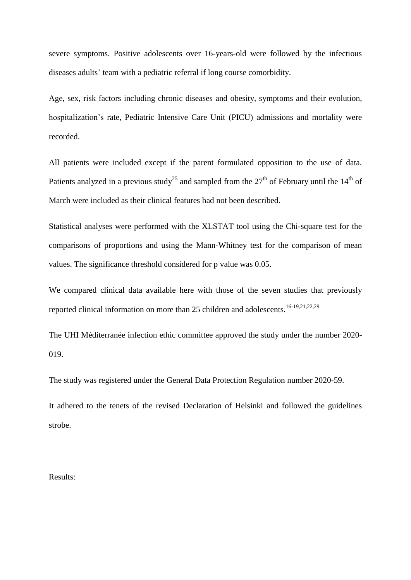severe symptoms. Positive adolescents over 16-years-old were followed by the infectious diseases adults' team with a pediatric referral if long course comorbidity.

Age, sex, risk factors including chronic diseases and obesity, symptoms and their evolution, hospitalization's rate, Pediatric Intensive Care Unit (PICU) admissions and mortality were recorded.

All patients were included except if the parent formulated opposition to the use of data. Patients analyzed in a previous study<sup>25</sup> and sampled from the  $27<sup>th</sup>$  of February until the  $14<sup>th</sup>$  of March were included as their clinical features had not been described.

Statistical analyses were performed with the XLSTAT tool using the Chi-square test for the comparisons of proportions and using the Mann-Whitney test for the comparison of mean values. The significance threshold considered for p value was 0.05.

We compared clinical data available here with those of the seven studies that previously reported clinical information on more than 25 children and adolescents.<sup>16-19,21,22,29</sup>

The UHI Méditerranée infection ethic committee approved the study under the number 2020- 019.

The study was registered under the General Data Protection Regulation number 2020-59.

It adhered to the tenets of the revised Declaration of Helsinki and followed the guidelines strobe.

Results: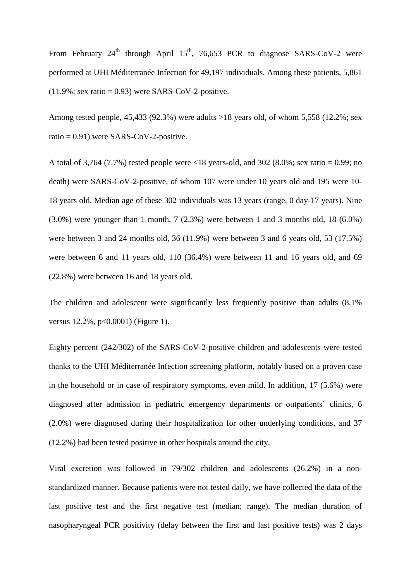From February  $24<sup>th</sup>$  through April  $15<sup>th</sup>$ , 76,653 PCR to diagnose SARS-CoV-2 were performed at UHI Méditerranée Infection for 49,197 individuals. Among these patients, 5,861  $(11.9\%; sex ratio = 0.93)$  were SARS-CoV-2-positive.

Among tested people, 45,433 (92.3%) were adults >18 years old, of whom 5,558 (12.2%; sex ratio = 0.91) were SARS-CoV-2-positive.

A total of 3,764 (7.7%) tested people were  $\langle 18 \rangle$  years-old, and 302 (8.0%; sex ratio = 0.99; no death) were SARS-CoV-2-positive, of whom 107 were under 10 years old and 195 were 10- 18 years old. Median age of these 302 individuals was 13 years (range, 0 day-17 years). Nine (3.0%) were younger than 1 month, 7 (2.3%) were between 1 and 3 months old, 18 (6.0%) were between 3 and 24 months old, 36 (11.9%) were between 3 and 6 years old, 53 (17.5%) were between 6 and 11 years old, 110 (36.4%) were between 11 and 16 years old, and 69 (22.8%) were between 16 and 18 years old.

The children and adolescent were significantly less frequently positive than adults (8.1% versus 12.2%, p<0.0001) (Figure 1).

Eighty percent (242/302) of the SARS-CoV-2-positive children and adolescents were tested thanks to the UHI Méditerranée Infection screening platform, notably based on a proven case in the household or in case of respiratory symptoms, even mild. In addition, 17 (5.6%) were diagnosed after admission in pediatric emergency departments or outpatients' clinics, 6 (2.0%) were diagnosed during their hospitalization for other underlying conditions, and 37 (12.2%) had been tested positive in other hospitals around the city.

Viral excretion was followed in 79/302 children and adolescents (26.2%) in a nonstandardized manner. Because patients were not tested daily, we have collected the data of the last positive test and the first negative test (median; range). The median duration of nasopharyngeal PCR positivity (delay between the first and last positive tests) was 2 days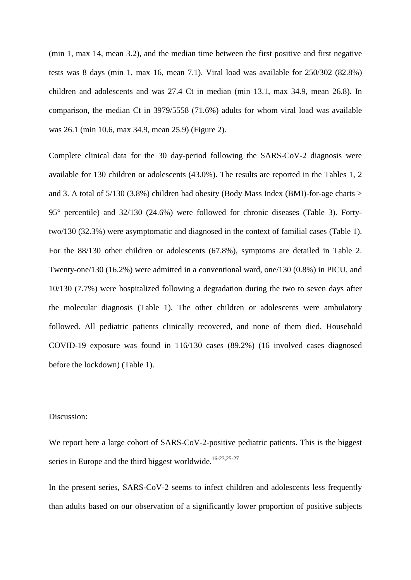(min 1, max 14, mean 3.2), and the median time between the first positive and first negative tests was 8 days (min 1, max 16, mean 7.1). Viral load was available for 250/302 (82.8%) children and adolescents and was 27.4 Ct in median (min 13.1, max 34.9, mean 26.8). In comparison, the median Ct in 3979/5558 (71.6%) adults for whom viral load was available was 26.1 (min 10.6, max 34.9, mean 25.9) (Figure 2).

Complete clinical data for the 30 day-period following the SARS-CoV-2 diagnosis were available for 130 children or adolescents (43.0%). The results are reported in the Tables 1, 2 and 3. A total of 5/130 (3.8%) children had obesity (Body Mass Index (BMI)-for-age charts > 95° percentile) and 32/130 (24.6%) were followed for chronic diseases (Table 3). Fortytwo/130 (32.3%) were asymptomatic and diagnosed in the context of familial cases (Table 1). For the 88/130 other children or adolescents (67.8%), symptoms are detailed in Table 2. Twenty-one/130 (16.2%) were admitted in a conventional ward, one/130 (0.8%) in PICU, and 10/130 (7.7%) were hospitalized following a degradation during the two to seven days after the molecular diagnosis (Table 1). The other children or adolescents were ambulatory followed. All pediatric patients clinically recovered, and none of them died. Household COVID-19 exposure was found in 116/130 cases (89.2%) (16 involved cases diagnosed before the lockdown) (Table 1).

#### Discussion:

We report here a large cohort of SARS-CoV-2-positive pediatric patients. This is the biggest series in Europe and the third biggest worldwide.<sup>16-23,25-27</sup>

In the present series, SARS-CoV-2 seems to infect children and adolescents less frequently than adults based on our observation of a significantly lower proportion of positive subjects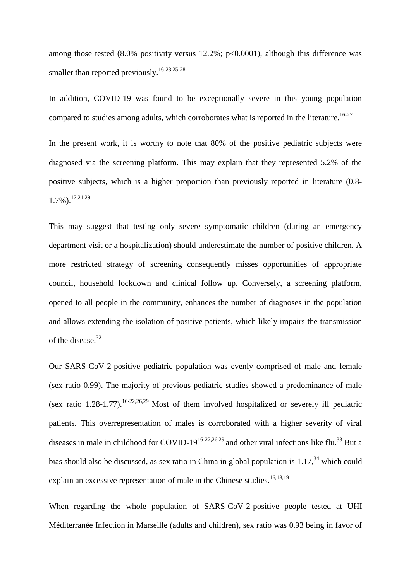among those tested  $(8.0\%$  positivity versus 12.2%; p<0.0001), although this difference was smaller than reported previously.<sup>16-23,25-28</sup>

In addition, COVID-19 was found to be exceptionally severe in this young population compared to studies among adults, which corroborates what is reported in the literature.<sup>16-27</sup>

In the present work, it is worthy to note that 80% of the positive pediatric subjects were diagnosed via the screening platform. This may explain that they represented 5.2% of the positive subjects, which is a higher proportion than previously reported in literature (0.8- 1.7%).17,21,29

This may suggest that testing only severe symptomatic children (during an emergency department visit or a hospitalization) should underestimate the number of positive children. A more restricted strategy of screening consequently misses opportunities of appropriate council, household lockdown and clinical follow up. Conversely, a screening platform, opened to all people in the community, enhances the number of diagnoses in the population and allows extending the isolation of positive patients, which likely impairs the transmission of the disease. 32

Our SARS-CoV-2-positive pediatric population was evenly comprised of male and female (sex ratio 0.99). The majority of previous pediatric studies showed a predominance of male (sex ratio 1.28-1.77).<sup>16-22,26,29</sup> Most of them involved hospitalized or severely ill pediatric patients. This overrepresentation of males is corroborated with a higher severity of viral diseases in male in childhood for COVID-19<sup>16-22,26,29</sup> and other viral infections like flu.<sup>33</sup> But a bias should also be discussed, as sex ratio in China in global population is  $1.17<sup>34</sup>$  which could explain an excessive representation of male in the Chinese studies.<sup>16,18,19</sup>

When regarding the whole population of SARS-CoV-2-positive people tested at UHI Méditerranée Infection in Marseille (adults and children), sex ratio was 0.93 being in favor of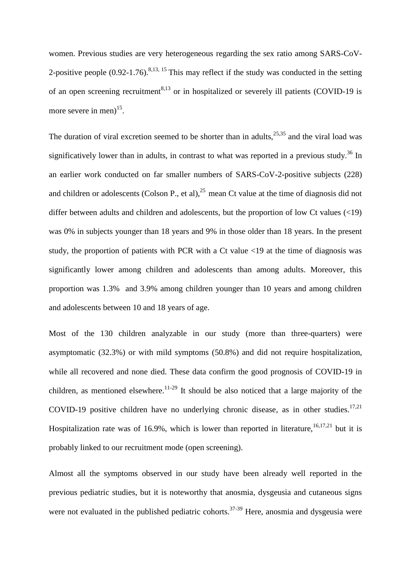women. Previous studies are very heterogeneous regarding the sex ratio among SARS-CoV-2-positive people  $(0.92-1.76)$ .<sup>8,13, 15</sup> This may reflect if the study was conducted in the setting of an open screening recruitment<sup>8,13</sup> or in hospitalized or severely ill patients (COVID-19 is more severe in men) $15$ .

The duration of viral excretion seemed to be shorter than in adults,  $25,35$  and the viral load was significatively lower than in adults, in contrast to what was reported in a previous study.<sup>36</sup> In an earlier work conducted on far smaller numbers of SARS-CoV-2-positive subjects (228) and children or adolescents (Colson P., et al),<sup>25</sup> mean Ct value at the time of diagnosis did not differ between adults and children and adolescents, but the proportion of low Ct values  $\langle$ <19) was 0% in subjects younger than 18 years and 9% in those older than 18 years. In the present study, the proportion of patients with PCR with a Ct value  $\langle 19 \rangle$  at the time of diagnosis was significantly lower among children and adolescents than among adults. Moreover, this proportion was 1.3% and 3.9% among children younger than 10 years and among children and adolescents between 10 and 18 years of age.

Most of the 130 children analyzable in our study (more than three-quarters) were asymptomatic (32.3%) or with mild symptoms (50.8%) and did not require hospitalization, while all recovered and none died. These data confirm the good prognosis of COVID-19 in children, as mentioned elsewhere.<sup>11-29</sup> It should be also noticed that a large majority of the COVID-19 positive children have no underlying chronic disease, as in other studies.<sup>17,21</sup> Hospitalization rate was of 16.9%, which is lower than reported in literature,  $16,17,21$  but it is probably linked to our recruitment mode (open screening).

Almost all the symptoms observed in our study have been already well reported in the previous pediatric studies, but it is noteworthy that anosmia, dysgeusia and cutaneous signs were not evaluated in the published pediatric cohorts.<sup>37-39</sup> Here, anosmia and dysgeusia were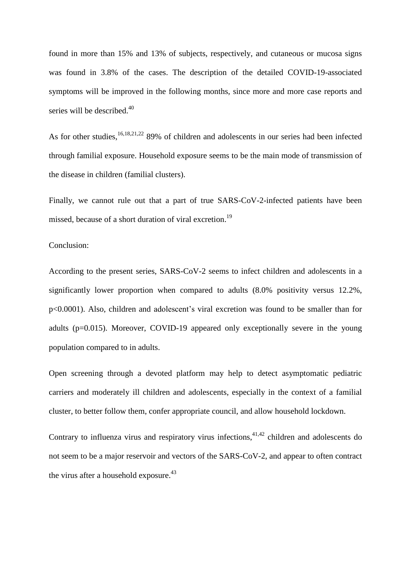found in more than 15% and 13% of subjects, respectively, and cutaneous or mucosa signs was found in 3.8% of the cases. The description of the detailed COVID-19-associated symptoms will be improved in the following months, since more and more case reports and series will be described. $40$ 

As for other studies, <sup>16,18,21,22</sup> 89% of children and adolescents in our series had been infected through familial exposure. Household exposure seems to be the main mode of transmission of the disease in children (familial clusters).

Finally, we cannot rule out that a part of true SARS-CoV-2-infected patients have been missed, because of a short duration of viral excretion.<sup>19</sup>

## Conclusion:

According to the present series, SARS-CoV-2 seems to infect children and adolescents in a significantly lower proportion when compared to adults (8.0% positivity versus 12.2%, p<0.0001). Also, children and adolescent's viral excretion was found to be smaller than for adults (p=0.015). Moreover, COVID-19 appeared only exceptionally severe in the young population compared to in adults.

Open screening through a devoted platform may help to detect asymptomatic pediatric carriers and moderately ill children and adolescents, especially in the context of a familial cluster, to better follow them, confer appropriate council, and allow household lockdown.

Contrary to influenza virus and respiratory virus infections,<sup>41,42</sup> children and adolescents do not seem to be a major reservoir and vectors of the SARS-CoV-2, and appear to often contract the virus after a household exposure.<sup>43</sup>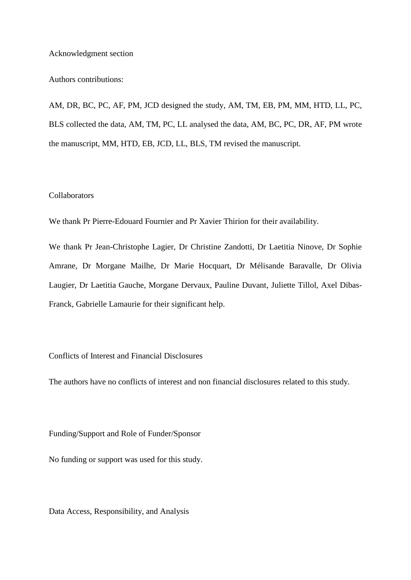Acknowledgment section

Authors contributions:

AM, DR, BC, PC, AF, PM, JCD designed the study, AM, TM, EB, PM, MM, HTD, LL, PC, BLS collected the data, AM, TM, PC, LL analysed the data, AM, BC, PC, DR, AF, PM wrote the manuscript, MM, HTD, EB, JCD, LL, BLS, TM revised the manuscript.

## **Collaborators**

We thank Pr Pierre-Edouard Fournier and Pr Xavier Thirion for their availability.

We thank Pr Jean-Christophe Lagier, Dr Christine Zandotti, Dr Laetitia Ninove, Dr Sophie Amrane, Dr Morgane Mailhe, Dr Marie Hocquart, Dr Mélisande Baravalle, Dr Olivia Laugier, Dr Laetitia Gauche, Morgane Dervaux, Pauline Duvant, Juliette Tillol, Axel Dibas-Franck, Gabrielle Lamaurie for their significant help.

Conflicts of Interest and Financial Disclosures

The authors have no conflicts of interest and non financial disclosures related to this study.

Funding/Support and Role of Funder/Sponsor

No funding or support was used for this study.

Data Access, Responsibility, and Analysis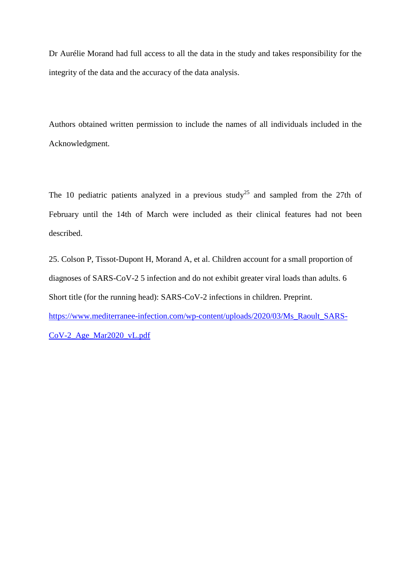Dr Aurélie Morand had full access to all the data in the study and takes responsibility for the integrity of the data and the accuracy of the data analysis.

Authors obtained written permission to include the names of all individuals included in the Acknowledgment.

The 10 pediatric patients analyzed in a previous study<sup>25</sup> and sampled from the 27th of February until the 14th of March were included as their clinical features had not been described.

25. Colson P, Tissot-Dupont H, Morand A, et al. Children account for a small proportion of diagnoses of SARS-CoV-2 5 infection and do not exhibit greater viral loads than adults. 6 Short title (for the running head): SARS-CoV-2 infections in children. Preprint. [https://www.mediterranee-infection.com/wp-content/uploads/2020/03/Ms\\_Raoult\\_SARS-](https://www.mediterranee-infection.com/wp-content/uploads/2020/03/Ms_Raoult_SARS-CoV-2_Age_Mar2020_vL.pdf)[CoV-2\\_Age\\_Mar2020\\_vL.pdf](https://www.mediterranee-infection.com/wp-content/uploads/2020/03/Ms_Raoult_SARS-CoV-2_Age_Mar2020_vL.pdf)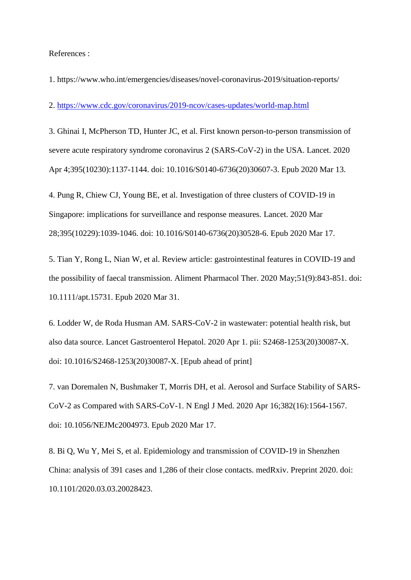References :

1. https://www.who.int/emergencies/diseases/novel-coronavirus-2019/situation-reports/

2.<https://www.cdc.gov/coronavirus/2019-ncov/cases-updates/world-map.html>

3. Ghinai I, McPherson TD, Hunter JC, et al. First known person-to-person transmission of severe acute respiratory syndrome coronavirus 2 (SARS-CoV-2) in the USA. Lancet. 2020 Apr 4;395(10230):1137-1144. doi: 10.1016/S0140-6736(20)30607-3. Epub 2020 Mar 13.

4. Pung R, Chiew CJ, Young BE, et al. Investigation of three clusters of COVID-19 in Singapore: implications for surveillance and response measures. Lancet. 2020 Mar 28;395(10229):1039-1046. doi: 10.1016/S0140-6736(20)30528-6. Epub 2020 Mar 17.

5. Tian Y, Rong L, Nian W, et al. Review article: gastrointestinal features in COVID-19 and the possibility of faecal transmission. Aliment Pharmacol Ther. 2020 May;51(9):843-851. doi: 10.1111/apt.15731. Epub 2020 Mar 31.

6. Lodder W, de Roda Husman AM. SARS-CoV-2 in wastewater: potential health risk, but also data source. Lancet Gastroenterol Hepatol. 2020 Apr 1. pii: S2468-1253(20)30087-X. doi: 10.1016/S2468-1253(20)30087-X. [Epub ahead of print]

7. van Doremalen N, Bushmaker T, Morris DH, et al. Aerosol and Surface Stability of SARS-CoV-2 as Compared with SARS-CoV-1. N Engl J Med. 2020 Apr 16;382(16):1564-1567. doi: 10.1056/NEJMc2004973. Epub 2020 Mar 17.

8. Bi Q, Wu Y, Mei S, et al. Epidemiology and transmission of COVID-19 in Shenzhen China: analysis of 391 cases and 1,286 of their close contacts. medRxiv. Preprint 2020. doi: 10.1101/2020.03.03.20028423.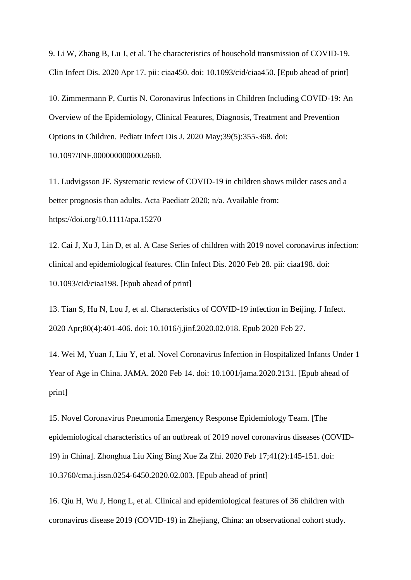9. Li W, Zhang B, Lu J, et al. The characteristics of household transmission of COVID-19. Clin Infect Dis. 2020 Apr 17. pii: ciaa450. doi: 10.1093/cid/ciaa450. [Epub ahead of print]

10. Zimmermann P, Curtis N. Coronavirus Infections in Children Including COVID-19: An Overview of the Epidemiology, Clinical Features, Diagnosis, Treatment and Prevention Options in Children. Pediatr Infect Dis J. 2020 May;39(5):355-368. doi: 10.1097/INF.0000000000002660.

11. Ludvigsson JF. Systematic review of COVID-19 in children shows milder cases and a better prognosis than adults. Acta Paediatr 2020; n/a. Available from: https://doi.org/10.1111/apa.15270

12. Cai J, Xu J, Lin D, et al. A Case Series of children with 2019 novel coronavirus infection: clinical and epidemiological features. Clin Infect Dis. 2020 Feb 28. pii: ciaa198. doi: 10.1093/cid/ciaa198. [Epub ahead of print]

13. Tian S, Hu N, Lou J, et al. Characteristics of COVID-19 infection in Beijing. J Infect. 2020 Apr;80(4):401-406. doi: 10.1016/j.jinf.2020.02.018. Epub 2020 Feb 27.

14. Wei M, Yuan J, Liu Y, et al. Novel Coronavirus Infection in Hospitalized Infants Under 1 Year of Age in China. JAMA. 2020 Feb 14. doi: 10.1001/jama.2020.2131. [Epub ahead of print]

15. Novel Coronavirus Pneumonia Emergency Response Epidemiology Team. [The epidemiological characteristics of an outbreak of 2019 novel coronavirus diseases (COVID-19) in China]. Zhonghua Liu Xing Bing Xue Za Zhi. 2020 Feb 17;41(2):145-151. doi: 10.3760/cma.j.issn.0254-6450.2020.02.003. [Epub ahead of print]

16. Qiu H, Wu J, Hong L, et al. Clinical and epidemiological features of 36 children with coronavirus disease 2019 (COVID-19) in Zhejiang, China: an observational cohort study.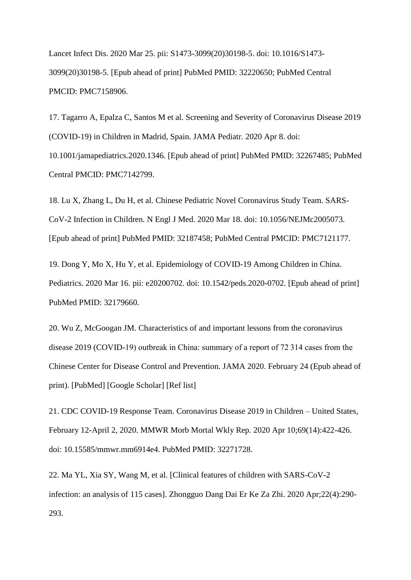Lancet Infect Dis. 2020 Mar 25. pii: S1473-3099(20)30198-5. doi: 10.1016/S1473- 3099(20)30198-5. [Epub ahead of print] PubMed PMID: 32220650; PubMed Central PMCID: PMC7158906.

17. Tagarro A, Epalza C, Santos M et al. Screening and Severity of Coronavirus Disease 2019 (COVID-19) in Children in Madrid, Spain. JAMA Pediatr. 2020 Apr 8. doi: 10.1001/jamapediatrics.2020.1346. [Epub ahead of print] PubMed PMID: 32267485; PubMed Central PMCID: PMC7142799.

18. Lu X, Zhang L, Du H, et al. Chinese Pediatric Novel Coronavirus Study Team. SARS-CoV-2 Infection in Children. N Engl J Med. 2020 Mar 18. doi: 10.1056/NEJMc2005073. [Epub ahead of print] PubMed PMID: 32187458; PubMed Central PMCID: PMC7121177.

19. Dong Y, Mo X, Hu Y, et al. Epidemiology of COVID-19 Among Children in China. Pediatrics. 2020 Mar 16. pii: e20200702. doi: 10.1542/peds.2020-0702. [Epub ahead of print] PubMed PMID: 32179660.

20. Wu Z, McGoogan JM. Characteristics of and important lessons from the coronavirus disease 2019 (COVID-19) outbreak in China: summary of a report of 72 314 cases from the Chinese Center for Disease Control and Prevention. JAMA 2020. February 24 (Epub ahead of print). [PubMed] [Google Scholar] [Ref list]

21. CDC COVID-19 Response Team. Coronavirus Disease 2019 in Children – United States, February 12-April 2, 2020. MMWR Morb Mortal Wkly Rep. 2020 Apr 10;69(14):422-426. doi: 10.15585/mmwr.mm6914e4. PubMed PMID: 32271728.

22. Ma YL, Xia SY, Wang M, et al. [Clinical features of children with SARS-CoV-2 infection: an analysis of 115 cases]. Zhongguo Dang Dai Er Ke Za Zhi. 2020 Apr;22(4):290- 293.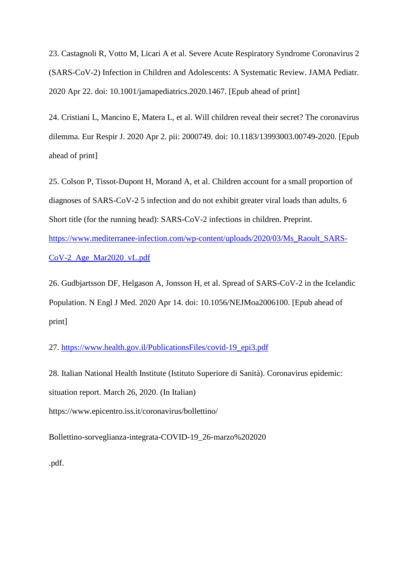23. Castagnoli R, Votto M, Licari A et al. Severe Acute Respiratory Syndrome Coronavirus 2 (SARS-CoV-2) Infection in Children and Adolescents: A Systematic Review. JAMA Pediatr. 2020 Apr 22. doi: 10.1001/jamapediatrics.2020.1467. [Epub ahead of print]

24. Cristiani L, Mancino E, Matera L, et al. Will children reveal their secret? The coronavirus dilemma. Eur Respir J. 2020 Apr 2. pii: 2000749. doi: 10.1183/13993003.00749-2020. [Epub ahead of print]

25. Colson P, Tissot-Dupont H, Morand A, et al. Children account for a small proportion of diagnoses of SARS-CoV-2 5 infection and do not exhibit greater viral loads than adults. 6 Short title (for the running head): SARS-CoV-2 infections in children. Preprint.

[https://www.mediterranee-infection.com/wp-content/uploads/2020/03/Ms\\_Raoult\\_SARS-](https://www.mediterranee-infection.com/wp-content/uploads/2020/03/Ms_Raoult_SARS-CoV-2_Age_Mar2020_vL.pdf)[CoV-2\\_Age\\_Mar2020\\_vL.pdf](https://www.mediterranee-infection.com/wp-content/uploads/2020/03/Ms_Raoult_SARS-CoV-2_Age_Mar2020_vL.pdf)

26. Gudbjartsson DF, Helgason A, Jonsson H, et al. Spread of SARS-CoV-2 in the Icelandic Population. N Engl J Med. 2020 Apr 14. doi: 10.1056/NEJMoa2006100. [Epub ahead of print]

27. [https://www.health.gov.il/PublicationsFiles/covid-19\\_epi3.pdf](https://www.health.gov.il/PublicationsFiles/covid-19_epi3.pdf)

28. Italian National Health Institute (Istituto Superiore di Sanità). Coronavirus epidemic: situation report. March 26, 2020. (In Italian)

https://www.epicentro.iss.it/coronavirus/bollettino/

Bollettino-sorveglianza-integrata-COVID-19\_26-marzo%202020

.pdf.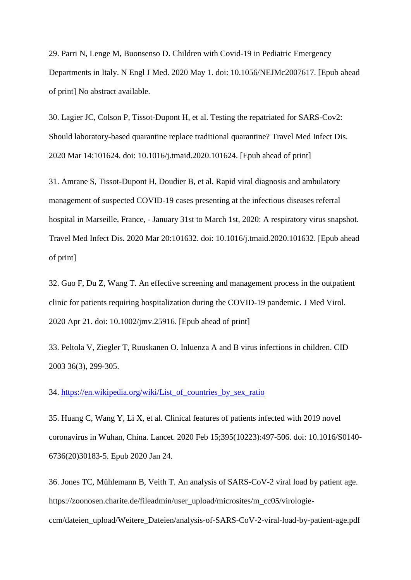29. Parri N, Lenge M, Buonsenso D. Children with Covid-19 in Pediatric Emergency Departments in Italy. N Engl J Med. 2020 May 1. doi: 10.1056/NEJMc2007617. [Epub ahead of print] No abstract available.

30. Lagier JC, Colson P, Tissot-Dupont H, et al. Testing the repatriated for SARS-Cov2: Should laboratory-based quarantine replace traditional quarantine? Travel Med Infect Dis. 2020 Mar 14:101624. doi: 10.1016/j.tmaid.2020.101624. [Epub ahead of print]

31. Amrane S, Tissot-Dupont H, Doudier B, et al. Rapid viral diagnosis and ambulatory management of suspected COVID-19 cases presenting at the infectious diseases referral hospital in Marseille, France, - January 31st to March 1st, 2020: A respiratory virus snapshot. Travel Med Infect Dis. 2020 Mar 20:101632. doi: 10.1016/j.tmaid.2020.101632. [Epub ahead of print]

32. Guo F, Du Z, Wang T. An effective screening and management process in the outpatient clinic for patients requiring hospitalization during the COVID-19 pandemic. J Med Virol. 2020 Apr 21. doi: 10.1002/jmv.25916. [Epub ahead of print]

33. Peltola V, Ziegler T, Ruuskanen O. Inluenza A and B virus infections in children. CID 2003 36(3), 299-305.

34. [https://en.wikipedia.org/wiki/List\\_of\\_countries\\_by\\_sex\\_ratio](https://en.wikipedia.org/wiki/List_of_countries_by_sex_ratio)

35. Huang C, Wang Y, Li X, et al. Clinical features of patients infected with 2019 novel coronavirus in Wuhan, China. Lancet. 2020 Feb 15;395(10223):497-506. doi: 10.1016/S0140- 6736(20)30183-5. Epub 2020 Jan 24.

36. Jones TC, Mühlemann B, Veith T. An analysis of SARS-CoV-2 viral load by patient age. https://zoonosen.charite.de/fileadmin/user\_upload/microsites/m\_cc05/virologieccm/dateien\_upload/Weitere\_Dateien/analysis-of-SARS-CoV-2-viral-load-by-patient-age.pdf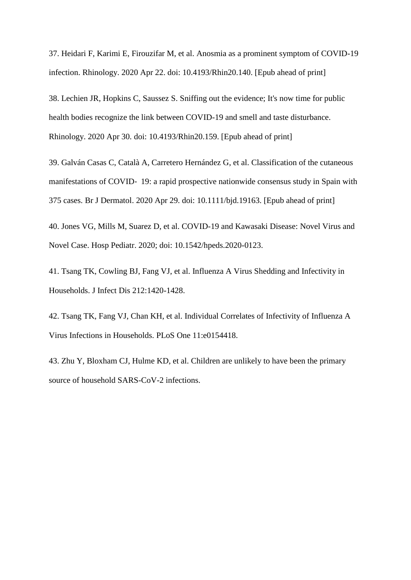37. Heidari F, Karimi E, Firouzifar M, et al. Anosmia as a prominent symptom of COVID-19 infection. Rhinology. 2020 Apr 22. doi: 10.4193/Rhin20.140. [Epub ahead of print]

38. Lechien JR, Hopkins C, Saussez S. Sniffing out the evidence; It's now time for public health bodies recognize the link between COVID-19 and smell and taste disturbance. Rhinology. 2020 Apr 30. doi: 10.4193/Rhin20.159. [Epub ahead of print]

39. Galván Casas C, Català A, Carretero Hernández G, et al. Classification of the cutaneous manifestations of COVID‐ 19: a rapid prospective nationwide consensus study in Spain with 375 cases. Br J Dermatol. 2020 Apr 29. doi: 10.1111/bjd.19163. [Epub ahead of print]

40. Jones VG, Mills M, Suarez D, et al. COVID-19 and Kawasaki Disease: Novel Virus and Novel Case. Hosp Pediatr. 2020; doi: 10.1542/hpeds.2020-0123.

41. Tsang TK, Cowling BJ, Fang VJ, et al. Influenza A Virus Shedding and Infectivity in Households. J Infect Dis 212:1420-1428.

42. Tsang TK, Fang VJ, Chan KH, et al. Individual Correlates of Infectivity of Influenza A Virus Infections in Households. PLoS One 11:e0154418.

43. Zhu Y, Bloxham CJ, Hulme KD, et al. Children are unlikely to have been the primary source of household SARS-CoV-2 infections.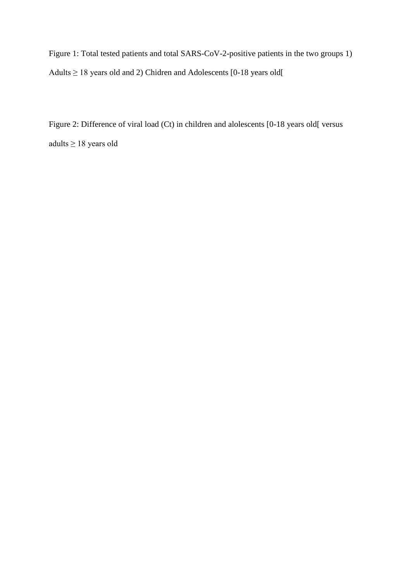Figure 1: Total tested patients and total SARS-CoV-2-positive patients in the two groups 1) Adults ≥ 18 years old and 2) Chidren and Adolescents [0-18 years old[

Figure 2: Difference of viral load (Ct) in children and alolescents [0-18 years old[ versus adults  $\geq 18$  years old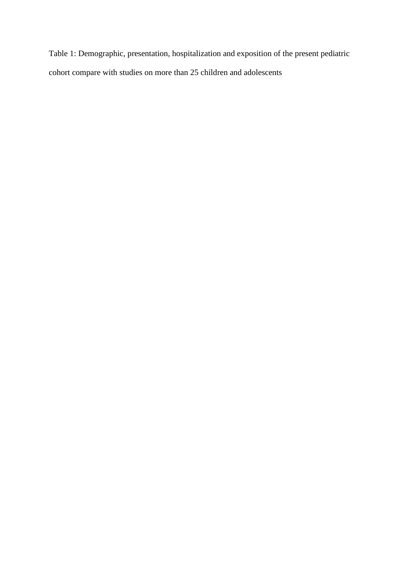Table 1: Demographic, presentation, hospitalization and exposition of the present pediatric cohort compare with studies on more than 25 children and adolescents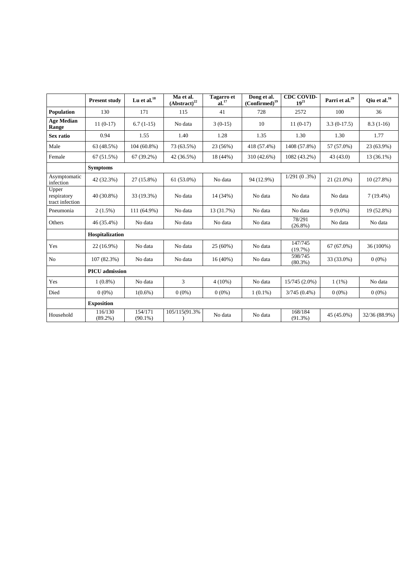|                                         | <b>Present study</b>  | Lu et al. $^{18}$     | Ma et al.<br>$(Abstruct)^{22}$ | <b>Tagarro</b> et<br>al. <sup>17</sup> | Dong et al.<br>(Confirmed) <sup>19</sup> | <b>CDC COVID-</b><br>$19^{21}$ | Parri et al. <sup>29</sup> | Qiu et al. <sup>16</sup> |
|-----------------------------------------|-----------------------|-----------------------|--------------------------------|----------------------------------------|------------------------------------------|--------------------------------|----------------------------|--------------------------|
| Population                              | 130                   | 171                   | 115                            | 41                                     | 728                                      | 2572                           | 100                        | 36                       |
| <b>Age Median</b><br>Range              | $11(0-17)$            | $6.7(1-15)$           | No data                        | $3(0-15)$                              | 10                                       | $11(0-17)$                     | $3.3(0-17.5)$              | $8.3(1-16)$              |
| Sex ratio                               | 0.94                  | 1.55                  | 1.40                           | 1.28                                   | 1.35                                     | 1.30                           | 1.30                       | 1.77                     |
| Male                                    | 63 (48.5%)            | $104(60.8\%)$         | 73 (63.5%)                     | 23 (56%)                               | 418 (57.4%)                              | 1408 (57.8%)                   | 57 (57.0%)                 | 23 (63.9%)               |
| Female                                  | 67(51.5%)             | $67(39.2\%)$          | 42 (36.5%)                     | 18 (44%)                               | 310 (42.6%)                              | 1082 (43.2%)                   | 43(43.0)                   | 13 (36.1%)               |
|                                         | <b>Symptoms</b>       |                       |                                |                                        |                                          |                                |                            |                          |
| Asymptomatic<br>infection               | 42 (32.3%)            | 27 (15.8%)            | $61(53.0\%)$                   | No data                                | 94 (12.9%)                               | $1/291(0.3\%)$                 | 21 (21.0%)                 | $10(27.8\%)$             |
| Upper<br>respiratory<br>tract infection | 40 (30.8%)            | 33 (19.3%)            | No data                        | 14 (34%)                               | No data                                  | No data                        | No data                    | $7(19.4\%)$              |
| Pneumonia                               | $2(1.5\%)$            | 111 (64.9%)           | No data                        | 13 (31.7%)                             | No data                                  | No data                        | $9(9.0\%)$                 | 19 (52.8%)               |
| Others                                  | 46 (35.4%)            | No data               | No data                        | No data                                | No data                                  | 78/291<br>$(26.8\%)$           | No data                    | No data                  |
|                                         | Hospitalization       |                       |                                |                                        |                                          |                                |                            |                          |
| Yes                                     | 22 (16.9%)            | No data               | No data                        | 25(60%)                                | No data                                  | 147/745<br>(19.7%)             | $67(67.0\%)$               | 36 (100%)                |
| No                                      | 107 (82.3%)           | No data               | No data                        | 16(40%)                                | No data                                  | 598/745<br>$(80.3\%)$          | 33 (33.0%)                 | $0(0\%)$                 |
|                                         | <b>PICU</b> admission |                       |                                |                                        |                                          |                                |                            |                          |
| Yes                                     | $1(0.8\%)$            | No data               | 3                              | $4(10\%)$                              | No data                                  | 15/745 (2.0%)                  | $1(1\%)$                   | No data                  |
| Died                                    | $0(0\%)$              | $1(0.6\%)$            | $0(0\%)$                       | $0(0\%)$                               | $1(0.1\%)$                               | $3/745(0.4\%)$                 | $0(0\%)$                   | $0(0\%)$                 |
|                                         | <b>Exposition</b>     |                       |                                |                                        |                                          |                                |                            |                          |
| Household                               | 116/130<br>$(89.2\%)$ | 154/171<br>$(90.1\%)$ | 105/115(91.3%                  | No data                                | No data                                  | 168/184<br>(91.3%)             | 45 (45.0%)                 | 32/36 (88.9%)            |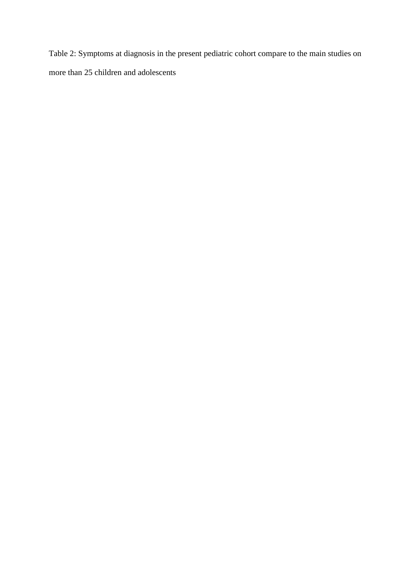Table 2: Symptoms at diagnosis in the present pediatric cohort compare to the main studies on more than 25 children and adolescents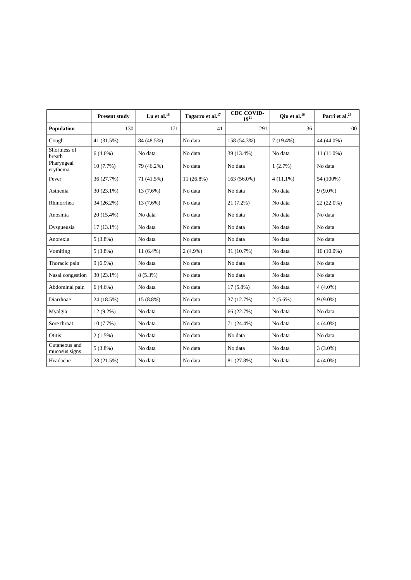|                                | <b>Present study</b> | Lu et al. $^{18}$ | Tagarro et al. <sup>17</sup> | <b>CDC COVID-</b><br>$19^{21}$ | Qiu et al. <sup>16</sup> | Parri et al. <sup>29</sup> |
|--------------------------------|----------------------|-------------------|------------------------------|--------------------------------|--------------------------|----------------------------|
| Population                     | 130                  | 171               | 41                           | 291                            | 36                       | 100                        |
| Cough                          | 41 (31.5%)           | 84 (48.5%)        | No data                      | 158 (54.3%)                    | $7(19.4\%)$              | 44 (44.0%)                 |
| Shortness of<br>breath         | $6(4.6\%)$           | No data           | No data                      | 39 (13.4%)                     | No data                  | $11(11.0\%)$               |
| Pharyngeal<br>erythema         | 10(7.7%)             | 79 (46.2%)        | No data                      | No data                        | 1(2.7%)                  | No data                    |
| Fever                          | 36 (27.7%)           | 71 (41.5%)        | $11(26.8\%)$                 | 163 (56.0%)                    | $4(11.1\%)$              | 54 (100%)                  |
| Asthenia                       | $30(23.1\%)$         | 13 (7.6%)         | No data                      | No data                        | No data                  | $9(9.0\%)$                 |
| Rhinorrhea                     | 34 (26.2%)           | 13 (7.6%)         | No data                      | $21(7.2\%)$                    | No data                  | 22 (22.0%)                 |
| Anosmia                        | 20 (15.4%)           | No data           | No data                      | No data                        | No data                  | No data                    |
| Dysgueusia                     | $17(13.1\%)$         | No data           | No data                      | No data                        | No data                  | No data                    |
| Anorexia                       | $5(3.8\%)$           | No data           | No data                      | No data                        | No data                  | No data                    |
| Vomiting                       | $5(3.8\%)$           | $11(6.4\%)$       | $2(4.9\%)$                   | 31 (10.7%)                     | No data                  | $10(10.0\%)$               |
| Thoracic pain                  | $9(6.9\%)$           | No data           | No data                      | No data                        | No data                  | No data                    |
| Nasal congestion               | $30(23.1\%)$         | $8(5.3\%)$        | No data                      | No data                        | No data                  | No data                    |
| Abdominal pain                 | $6(4.6\%)$           | No data           | No data                      | $17(5.8\%)$                    | No data                  | $4(4.0\%)$                 |
| Diarrhoae                      | 24 (18.5%)           | 15 (8.8%)         | No data                      | 37 (12.7%)                     | $2(5.6\%)$               | $9(9.0\%)$                 |
| Myalgia                        | $12(9.2\%)$          | No data           | No data                      | 66 (22.7%)                     | No data                  | No data                    |
| Sore throat                    | $10(7.7\%)$          | No data           | No data                      | 71 (24.4%)                     | No data                  | $4(4.0\%)$                 |
| Otitis                         | $2(1.5\%)$           | No data           | No data                      | No data                        | No data                  | No data                    |
| Cutaneous and<br>mucosus signs | $5(3.8\%)$           | No data           | No data                      | No data                        | No data                  | $3(3.0\%)$                 |
| Headache                       | 28 (21.5%)           | No data           | No data                      | 81 (27.8%)                     | No data                  | $4(4.0\%)$                 |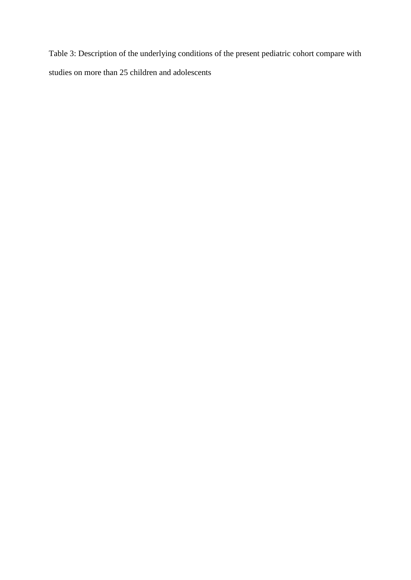Table 3: Description of the underlying conditions of the present pediatric cohort compare with studies on more than 25 children and adolescents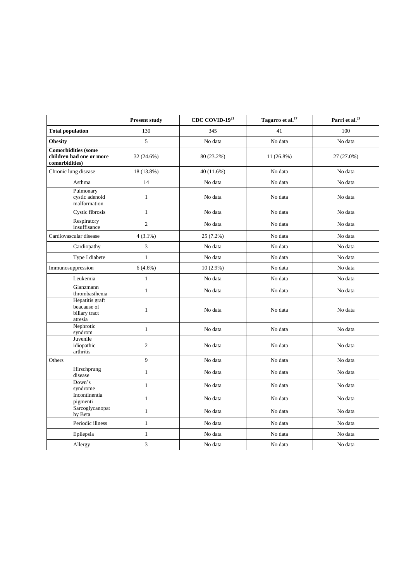|                                                                          | <b>Present study</b> | CDC COVID- $19^{21}$ | Tagarro et al. <sup>17</sup> | Parri et al. <sup>29</sup> |
|--------------------------------------------------------------------------|----------------------|----------------------|------------------------------|----------------------------|
| <b>Total population</b>                                                  | 130                  | 345                  | 41                           | 100                        |
| <b>Obesity</b>                                                           | 5                    | No data              | No data                      | No data                    |
| <b>Comorbidities</b> (some<br>children had one or more<br>comorbidities) | 32 (24.6%)           | 80 (23.2%)           | 11 (26.8%)                   | 27 (27.0%)                 |
| Chronic lung disease                                                     | 18 (13.8%)           | 40 (11.6%)           | No data                      | No data                    |
| Asthma                                                                   | 14                   | No data              | No data                      | No data                    |
| Pulmonary<br>cystic adenoid<br>malformation                              | $\mathbf{1}$         | No data              | No data                      | No data                    |
| Cystic fibrosis                                                          | $\mathbf{1}$         | No data              | No data                      | No data                    |
| Respiratory<br>insuffisance                                              | $\sqrt{2}$           | No data              | No data                      | No data                    |
| Cardiovascular disease                                                   | $4(3.1\%)$           | 25 (7.2%)            | No data                      | No data                    |
| Cardiopathy                                                              | 3                    | No data              | No data                      | No data                    |
| Type I diabete                                                           | $\mathbf{1}$         | No data              | No data                      | No data                    |
| Immunosuppression                                                        | $6(4.6\%)$           | $10(2.9\%)$          | No data                      | No data                    |
| Leukemia                                                                 | $\mathbf{1}$         | No data              | No data                      | No data                    |
| Glanzmann<br>thrombasthenia                                              | $\mathbf{1}$         | No data              | No data                      | No data                    |
| Hepatitis graft<br>beacause of<br>biliary tract<br>atresia               | $\mathbf{1}$         | No data              | No data                      | No data                    |
| Nephrotic<br>syndrom                                                     | $1\,$                | No data              | No data                      | No data                    |
| Juvenile<br>idiopathic<br>arthritis                                      | $\sqrt{2}$           | No data              | No data                      | No data                    |
| Others                                                                   | 9                    | No data              | No data                      | No data                    |
| Hirschprung<br>disease                                                   | $\mathbf{1}$         | No data              | No data                      | No data                    |
| Down's<br>syndrome                                                       | $\mathbf{1}$         | No data              | No data                      | No data                    |
| Incontinentia<br>pigmenti                                                | $\mathbf{1}$         | No data              | No data                      | No data                    |
| Sarcoglycanopat<br>hy Beta                                               | $\mathbf{1}$         | No data              | No data                      | No data                    |
| Periodic illness                                                         | $\mathbf{1}$         | No data              | No data                      | No data                    |
| Epilepsia                                                                | $\mathbf{1}$         | No data              | No data                      | No data                    |
| Allergy                                                                  | 3                    | No data              | No data                      | No data                    |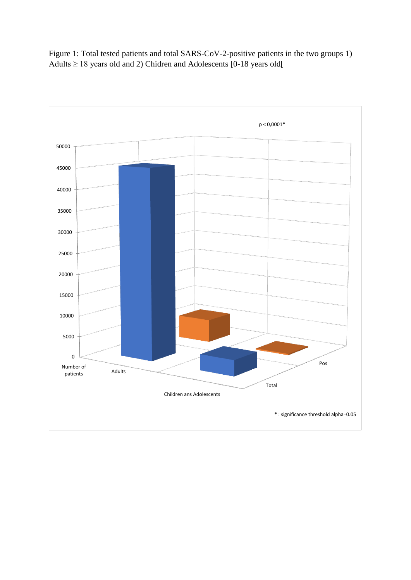Figure 1: Total tested patients and total SARS-CoV-2-positive patients in the two groups 1) Adults  $\geq 18$  years old and 2) Chidren and Adolescents [0-18 years old[